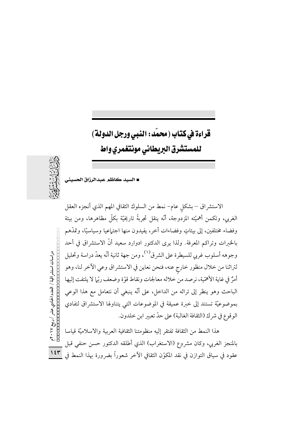قراءة في كتاب (محمد : النبي ورجل الدولة) للمستشرق البريطانى مونتغمري واط



■ السيد كاظم عبدالرزاق الحسيني

الاستشراق – بشكل عام– نمط من السلوك الثقافي المهم الذي أنجزه العقل الغربي، وتكمن أهميَّته المزدوجة، أنَّه ينقل تجربةً تاريخيَّة بكلَّ مظاهرها، ومن بيئة وفضاء مختلفين، إلى بيئاتٍ وفضاءات أخرٍ، يفيدون منها اجتماعيا وسياسيًّا، وتمدَّهم بالخبرات وتراكم المعرفة. ولذا يرى الدكتور ادوارد سعيد أنَّ الاستشراق في أحد وجوهه أسلوب غربي للسيطرة على الشرق<sup>(١)</sup>، ومن جهة ثانية أنّه يعدّ دراسة وتحليل لتراثنا من خلال منظور خارج عنه، فنحن نعاين في الاستشراق وعي الأخر لنا، وهو أمرٌ في غاية الأهمّية، نرصد من خلاله معالجات ونقاط قوّة وضعف ربّل لا يلتفت إليها الباحث وهو ينظر إلى تراثه من الداخل، على أنَّه ينبغي أن نتعامل مع هذا الوعي بموضوعيَّة تستند إلى خبرة عميقة في الموضوعات التي يتناولها الاستشراق لتفادي الوقوع في شرك (الثقافة الغالبة) على حدّ تعبير ابن خلدون.

هذا النمط من الثقافة تفتقر إليه منظومتنا الثقافية العربية والاسلاميّة قياسا بالمنجز الغربي، وكان مشروع (الاستغراب) الذي أطلقه الدكتور حسن حنفي قبل عقود في سياق التوازن في نقد المكوّن الثقافي الآخر شعوراً بضرورة بهذا النمط فى

دراسات استشراقیة / العدد الحادي عشر / رییع ۲۰۱۷ م<br>Попотопонопольно с событь с  $154$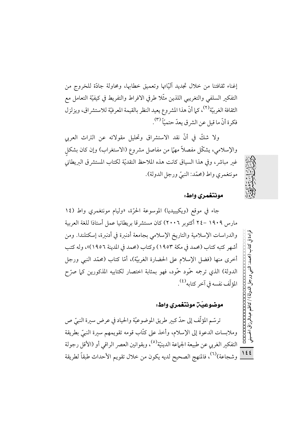إغناء ثقافتنا من خلال تجديد آليَّاتها وتعميق خطابها، ومحاولة جادَّة للخروج من التفكير السلفى والتغريبي اللذين مثّلا طرفي الافراط والتفريط في كيفيّة التعامل مع الثقافة الغربيّة<sup>(٢)</sup>، كما أنّ هذا المشروع يعيد النظر بالقيمة المعرفيّة للاستشراق، ويزلزل فكرة أنَّ ما قيل عن الشرق يعدّ حتميّاً (٣).

ولا شكٍّ في أنَّ نقد الاستشراق وتحليل مقولاته عن التراث العربي والإسلامي، يشكّل مفصلاً مهمّا من مفاصل مشروع (الاستغراب) وإن كان بشكل غير مباشر، وفي هذا السياق كانت هذه الملاحظ النقديّة لكتاب المستشرق البريطاني مونتغمري واط (محمّد: النبيّ ورجل الدولة).



قراءة في

كثاب (محمد:

النبي ورجل الدولة) / كاظ

لمرزاق الحسبينج

#### مونتغمري واط:

جاء في موقع (ويكيبيديا) الموسوعة الحرّة، «وليام مونتغمري واط (١٤ مارس ١٩٠٩ –٢٤ أكتوبر ٢٠٠٦) كان مستشرقا بريطانيا عمل أستاذا للغة العربية والدراسات الإسلامية والتاريخ الإسلامي بجامعة أدنبرة في أدنبرة، إسكتلندا. ومن أشهر كتبه كتاب (محمد في مكة ١٩٥٣) وكتاب (محمد في المدينة ١٩٥٦)»، وله كتب أخرى منها (فضل الإسلام على الحضارة الغربيَّة)، أمَّا كتاب (محمَّد النبي ورجل الدولة) الذي ترجمه حمّود حمّود، فهو بمثابة اختصار لكتابيه المذكورين كما صرّح المؤلّف نفسه في آخر كتابه<sup>(٤)</sup>.

### موضوعيّن مونتغمري واط:

0000000000 ترسّم المؤلّف إلى حدّ كبير طريق الموضوعيّة والحياد في عرض سيرة النبيّ ص وملابسات الدعوة إلى الإسلام، وأخذ على كتَّاب قومه تقويمهم سيرة النبيّ بطريقة التفكير الغربي عن طبيعة الجماعة الدينيّة<sup>(٥)</sup>، وبقوانين العصر الراقي أو (الأقل رجولة  $155$ وشجاعة)<sup>(٦)</sup>، فالمنهج الصحيح لديه يكون من خلال تقويم الأحداث طبقاً لطريقة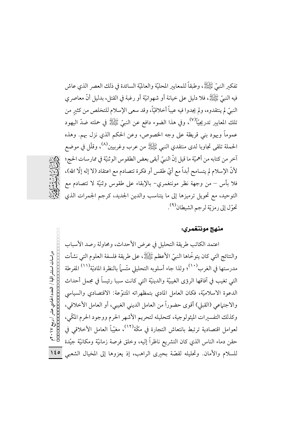تفكَّر النَّبِيِّ ﷺ، وطبقاً للمعايير المحليَّة والعالميَّة السائدة في ذلك العصر الذي عاش فيه النبيِّ ﷺ، فلا دليل على خيانة أو شهوانيَّة أو رغبة في القتل، بدليل أنَّ معاصر ي النبيِّ لم ينتقدوه، ولم يجدوا فيه عيباً أخلاقيّاً، وقد سعى الإسلام للتخلص من كثير من تلك المعايير تدريجيّاً<sup>(٧)</sup>، وفي هذا الضوء دافع عن النبيّ ﷺ في حملته ضدّ اليهود عموماً ويهود بني قريظة على وجه الخصوص، وعن الحكم الذي نزل بهم. وهذه الحملة تلقى تجاوبا لدى منتقدي النبي ﷺ من عرب وغربيين<sup>(٨)</sup>، وقلَّل في موضع آخر من كتابه من أهميّة ما قيل إنّ النبيّ أبقى بعض الطقوس الوثنيّة في ممارسات الحج؛ لأنَّ الإسلام لم يتسامح أبداً مع أيَّ طقس أو فكرة تتصادم مع اعتقاد (لا إله إلَّا الله)، فلا بأس – من وجهة نظر مونتغمري– بالإبقاء على طقوس وثنيّة لا تتصادم مع التوحيد، مع تحويل ترميزها إلى ما يتناسب والدين الجديد، كرجم الجمرات الذي تحوّل إلى رمزيّة لرجم الشيطان<sup>(٩)</sup> .



#### منهج مونتغمري:

اعتمد الكاتب طريقة التحليل في عرض الأحداث، ومحاولة رصد الأسباب دراسات استشراقیة / العدد الحادي عشر / ریبع ۲۰۱۷ م<br>Попотопонопольное изменения<br>Попотопонопольное изменения والنتائج التي كان يتوخَّاها النبيِّ الأعظم ﷺ، على طريقة فلسفة العلوم التي نشأت مدرستها في الغرب<sup>(١٠)</sup>؛ ولذا جاء أسلوبه التحليلي متّسماً بالنظرة الماديّة<sup>(١١)</sup> المفرطة التي تغيب في آفاقها الرؤى الغيبيّة والدينيّة التي كانت سببا رئيساً في مجمل أحداث الدعوة الاسلاميَّة، فكان العامل المادي بتمظهراته المتنوِّعة: الاقتصادي والسياسي والاجتماعي (القبلي) أقوى حضوراً من العامل الديني الغيبي، أو العامل الأخلاقي، وكذلك التفسيرات الميثولوجية، كتحليله لتحريم الأشهر الحرم ووجود الحرم المكَّبي، لعوامل اقتصادية ترتبط بانتعاش التجارة في مكّة<sup>(١٢)</sup>، مغيّباً العامل الأخلاقي في حقن دماء الناس الذي كان التشريع ناظراً إليه، وخلق فرصة زمانيّة ومكانيّة جيّدة  $150$ للسلام والأمان. وتحليله لقصَّة بحيري الراهب، إذ يعزوها إلى المخيال الشعبي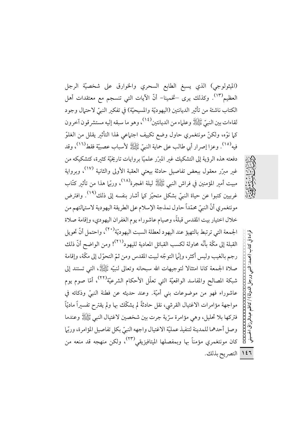(الميثولوجي) الذي يسبغ الطابع السحري والخوارق على شخصيّة الرجل العظيم````. وكذلك يرى –تخمينا– أنّ الآيات التي تنسجم مع معتقدات أهل الكتاب ناشئة من تأثير الديانتين (اليهوديّة والمسيحيّة) في تفكير النبيّ لاحتهال وجود لقاءات بين النبيِّ ﷺ وعلياء من الديانتين<sup>(١٤)</sup>، وهو ما سبقه إليه مستشر قون آخرون كما نوَّه، ولكنَّ مونتغمري حاول وضع تكييف اجتهاعي لهذا التأثير يقلل من الغلوّ فيه'''. وعزا إصرار أبي طالب على حماية النبيِّ ﷺ لأسبابٍ عصبيَّة فقط''''، وقد دفعته هذه الرؤية إلى التشكيك غبر المبرَّر علميًّا بروايات تاريخيَّة كثبرة، كتشكيكه من غبر مبرّر معقول ببعض تفاصيل حادثة بيعتي العقبة الأولى والثانية <sup>(١٧)</sup>، وبرواية مبيت أمير المؤمنين في فراش النبي ﷺ ليلة الهجرة<sup>(١٨)</sup>، وربَّها هذا من تأثير كتَّاب غربيين كتبوا عن حياة النبيّ بشكل متحيّز كما أشار بنفسه إلى ذلك<sup>(١٩)</sup>. وافترض مونتغمري أنَّ النبيِّ محمّداً حاول نمذجة الإسلام على الطريقة اليهودية لاستهالتهم من خلال اختيار بيت المقدس قبلةً، وصيام عاشوراء يوم الغفران اليهودي، وإقامة صلاة الجمعة التي ترتبط بالتهيؤ عند اليهود لعطلة السبت اليهوديّة<sup>(٢٠)</sup>، واحتمل أنّ تحويل القبلة إلى مكَّة بأنَّه محاولة لكسب القبائل المعادية لليهود<sup>(٢١)</sup>! ومن الواضح أنَّ ذلك رجم بالغيب وليس أكثر، وإنَّما التوجُّه لبيت المقدس ومن ثمَّ التحوَّل إلى مكَّة، وإقامة صلاة الجمعة كانا امتثالا لتوجيهات الله سبحانه وتعالى لنبيّه ﷺ، التي تستند إلى شبكة المصالح والمفاسد الواقعيَّة التي تعلَّل الأحكام الشرعيَّة'```)، أمَّا صوم يوم عاشوراء فهو من موضوعات بني أميّة. وعند حديثه عن فطنة النبيّ وذكائه في مواجهة مؤامرات الاغتيال القرشي، نقل حادثةً لم يشكّك بها ولم يقترح تفسيراً ماديّاً فتركها بلا تحليل، وهي مؤامرة سرِّية جرت بين شخصين لاغتيال النبي ﷺ وعندما وصل أحدهما للمدينة لتنفيذ عمليّة الاغتيال واجهه النبيّ بكل تفاصيل المؤامرة، وربّها كان مونتغمري مؤمناً بها وبمفصلها الميتافيزيقي (٢٣)، ولكن منهجه قد منعه من ١٤٦ التصريح بذلك.

قراءة في كتاب (محمد: النهي ورجل الدولة) / كاظم عبدالرزاق الحسيني **Contra contra contra contra DODOOOOOOOOOO**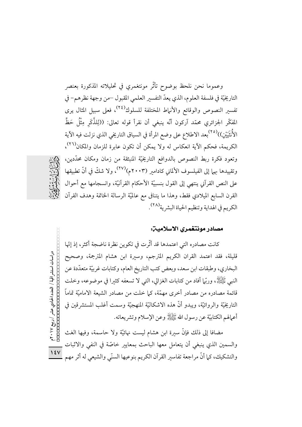وعموما نحن نلحظ بوضوح تأثَّر مونتغمري في تحليلاته المذكورة بعنصر التاريخيّة في فلسفة العلوم، الذي يعدّ التفسير العلمي المقبول –من وجهة نظرهم– في تفسير النصوص والوقائع والأنهاط المختلفة للسلوك<sup>(٢٤)</sup>، فعلى سبيل المثال يرى المفكَّر الجزائري محمَّد آركون أنَّه ينبغي أن نقرأ قوله تعالى: ((لِلذَّكَر مِثْلُ حَظٍّ الأُنثَيَيْنِ))<sup>(٢٥)</sup>بعد الاطلاع على وضع المرأة في السياق التاريخي الذي نزلت فيه الآية الكريمة، فحكم الآية انعكاس له ولا يمكن أن تكون عابرة للزمان والمكان<sup>(٢٦)</sup>، وتعود فكرة ربط النصوص بالدوافع التاريخيَّة المنبثقة من زمان ومكان محدَّدين، وتقييدها بهما إلى الفيلسوف الألماني كادامير (٢٠٠٣م)<sup>(٢٧)</sup>، ولا شكِّ فى أنَّ تطبيقها على النص القرآني ينتهي إلى القول بنسبيّة الأحكام القرآنيّة، وانسجامها مع أحوال القرن السابع الميلادي فقط، وهذا ما يتنافى مع عالميَّة الرسالة الخاتمة وهدف القرآن الكريم في الهداية وتنظيم الحياة البشرية<sup>(٢٨)</sup>.



## مصادر مونتغمري الاسلامين:

كانت مصادره التي اعتمدها قد أثَّرت في تكوين نظرة ناضجة أكثر، إذ إنَّها 00000000000000000000000 قليلة، فقد اعتمد القران الكريم المترجم، وسيرة ابن هشام المترجمة، وصحيح البخاري، وطبقات ابن سعد، وبعض كتب التاريخ العام، وكتابات غربيّة متعدّدة عن النَّبِي ﷺ، وربَّها أفاد من كتابات الغزالي، التي لا تسعفه كثيرًا في موضوعه، وخلت قائمة مصادره من مصادر أخرى مهمّة، كما خلت من مصادر الشيعة الاماميّة تماماً التاريخيَّة والروائيَّة، ويبدو أنَّ هذه الاشكاليَّة المنهجيَّة وسمت أغلب المستشرقين في أعمالهم الكتابيّة عن رسول الله ﷺ وعن الإسلام وتشريعاته.

مضافا إلى ذلك فإنَّ سيرة ابن هشام ليست نهائيَّة ولا حاسمة، وفيها الغث والسمين الذي ينبغي أن يتعامل معها الباحث بمعايير خاصّة في النفي والاثبات والتشكيك، كما أنَّ مراجعة تفاسير القرآن الكريم بنوعيها السنَّى والشيعي له أثر مهم

دراسات استشر اقیة / العدد الحادي عشر / ريبع ۲۰۱۷م<br>Попотопопотополого состания<br>Попотополого состания  $\sqrt{\epsilon V}$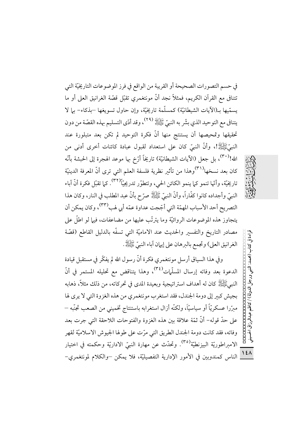في حسم التصورات الصحيحة أو القريبة من الواقع في فرز الموضوعات التاريخيّة التي تتنافى مع القرآن الكريم، فمثلاً نجد أنَّ مونتغمري تقبَّل قصَّة الغرانيق العلى أو ما يسمِّيها بـ(الآيات الشيطانيَّة) كمسلَّمة تاريخيَّة، وإن حاول تسويغها –بذكاء– بها لا يتنافى مع التوحيد الذي بشَّر به النبيِّ ﷺ (٢٩) وقد أدَّى التسليم بهذه القصَّة من دون تحقيقها وتمحيصها أن يستنتج منها أنَّ فكرة التوحيد لم تكن بعد متبلورة عند النَّبِيِّﷺ!، وأنَّ النَّبِيّ كان على استعداد لقبول عبادة كائنات أخرى أدنى من الله!<sup>(٣٠)</sup>، بل جعل (الآيات الشيطانيّة) تاريخاً أرّخ بها موعد الهجرة إلى الحبشة بأنّه كان بعد نسخها<sup>(۳۱)</sup>وهذا من تأثير نظرية فلسفة العلم التي ترى أنّ المعرفة الدينيّة تاريخيّة، وأُنّها تنمو كما ينمو الكائن الحي، وتتطوّر تدريجيّاً<sup>(٣٢)</sup>. كما تقبّل فكرة أنّ آباء النبيِّ وأجداده كانوا كفَّاراً، وأنَّ النبيِّ ﷺ صرّحٍ بأنَّ عبد المطلب في النار، وكان هذا التصريح أحد الأسباب المهمّة التي أجّجت عداوة عمّه أبي لهب<sup>(٣٣)</sup>، وكان يمكن أن يتجاوز هذه الموضوعات الروائيَّة وما يترتَّب عليها من مضاعفات، فيها لو اطلَّ على مصادر التاريخ والتفسير والحديث عند الاماميّة التي تسفّه بالدليل القاطع (قصّة الغرانيق العلي) وتجمع بالبرهان على إيهان آباء النبيِّ ﷺ.

وفي هذا السياق أرسل مونتغمري فكرة أنَّ رسول الله لم يفكِّر في مستقبل قيادة الدعوة بعد وفاته إرسال المسلَّمات<sup>(٣٤)</sup>، وهذا يتناقض مع تحليله المستمر في أنّ النبيﷺ كان له أهداف استراتيجية وبعيدة المدى في تحركاته، من ذلك مثلاً، ذهابه بجيش كبير إلى دومة الجندل، فقد استغرب مونتغمري من هذه الغزوة التي لا يرى لها مبرَّرا عسكريًّا أو سياسيًّا، ولكنَّه أزال استغرابه باستنتاج تخميني من الصعب تجنَّبه – على حدّ قوله- أنّ ثمّة علاقة بين هذه الغزوة والفتوحات اللاحقة التي جرت بعد وفاته، فقد كانت دومة الجندل الطريق التي مرّت على طولها الجيوش الاسلاميّة لقهر الامبراطوريّة البيزنطيّة<sup>(٣٥)</sup>. وتحدّث عن مهارة النبيّ الاداريّة وحكمته في اختيار <mark>١٤٨</mark> الناس كمندوبين في الأمور الإدارية التفصيليّة، فلا يمكن —والكلام لمونتغمري–



E أواءة في كتاب (محمد: النبي ورجل الدولة) / كاظم عبدالرزاق الحسينى<br>قراءة في كتاب (محمد: النبي ورجل الدولة) / كاظم عبدالرزاق الحسينى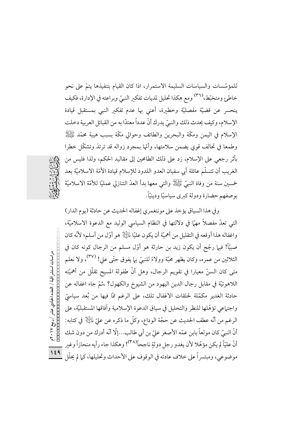للمؤسَّسات والسياسات السليمة الاستمرار، اذا كان القيام بتنفيذها يتمَّ على نحو خاطئ ومتخبّط،<sup>(٣٦)</sup> ومع هكذا تحليل لمديات تفكير النبيّ وبراعته في الإدارة، فكيف ينحسر عن قضيّة مفصليّة وخطيرة، أعنى بها عدم تفكير النبي بمستقبل قيادة الإسلام، وكيف يحدث ذلك والنبيِّ يدرك أنَّ عدداً معتدًّا به من القبائل العربية دخلت الإسلام في اليمن ومكَّة والبحرين والطائف وحوالي مكَّة بسبب هيبة محمَّد ﷺ وطمعًا في تحالف قوى يضمن سلامتها، وأنَّها بمجرد زواله قد ترتدَ وتشكَّل خطرًا بأثر رجعي على الإسلام، زد على ذلك الطامحين إلى مقاليد الحكم، ولذا فليس من الغريب أن تتسلَّم عائلة أبي سفيان العدو اللدود للإسلام قيادة الأمَّة الاسلاميَّة بعد خمسين سنة من وفاة النبيِّ ﷺ والتي معها بدأ العدّ التنازلي عمليّا للأمّة الاسلاميّة بوصفهم حضارة ودولة كبرى سياسيًّا ودينيًّا.

وفي هذا السياق يؤخذ على مونتغمري إغفاله الحديث عن حادثة (يوم الدار) التي تعدُّ مفصلاً مهمًّا في دلالتها في النظام السياسي الوليد مع الدعوة الاسلاميَّة، واغفاله هذا أوقعه في التقليل من أهميَّة أن يكون عليًّا لِمَائِلَةٍ هو أوَّل من أسلم؛ لأنَّه كان صبيًّا! فيها رجِّح أن يكون زيد بن حارثة هو أوَّل مسلَّم من الرجال كونه كان في دراسات استشر اقیة / العدد الحادي عشر / ريبع ٢٠١٧م<br>Папанана - соороно сооронов الثلاثين من عمره، وكان يظهر محبَّة وولاءً للنبيّ بيما يفوق حتَّى على! <sup>(٣٧)</sup>، ولا نعلم متى كان السنِّ معيارا في تقويم الرجال، وهل أنَّ طفولة المسيح تقلَّل من أهميَّته اللاهوتيَّة في مقابل رجال الدين اليهود من الشيوخ والكهول؟ ،ثمَّ جاء اغفاله عن حادثة الغدير مكمّلة لحلقات الاغفال تلك، على الرغم ممّا فيها من بُعد سياسيّ واجتماعي تؤهّلها للنظر والتحليل في سياق الدعوة الإسلامية وآفاقها المستقبليّة، على الرغم من أنَّه عطف الحديث عن حجَّة الوداع، وكلَّ ما ذكره عن عليَّ ءليَّالِ في كتابه: أنَّ النبيِّ كان مولعاً بابن عمّه الأصغر عليّ بن أبي طالب...إلّا أنّه أدرك من دون شك أنَّ عليّاً لم يكن مؤهّلا لأن يغدو رجل دولةٍ ناجحاً<sup>(٣٨)</sup>! وهكذا جاء رأيه منحازاً وغير  $159$ موضوعي، ومبتسراً على خلاف عادته في الوقوف على الأحداث وتحليلها، كما لم يحلّل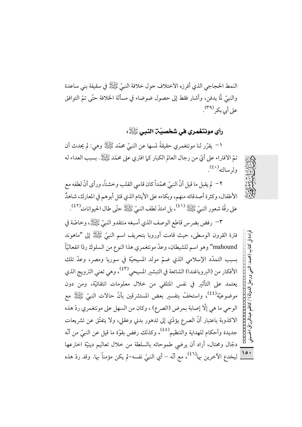النمط الحجاجي الذي أفرزه الاختلاف حول خلافة النبيِّ ﷺ في سقيفة بني ساعدة والنبيّ لّما يدفن، وأشار فقط إلى حصول ضوضاء في مسألة الخلافة حتّى تمّ التوافق على أبي بكر (٣٩).

# رأي مونتغمري في شخصيّة النبي ﷺ:

١– يقرِّر لنا مونتغمري حقيقةً لمسها عن النبيِّ محمَّد ﷺ وهي: لم يحدث أن تمَّ الافتراء على أيِّ من رجال العالم الكبار كما افترى على محمَّد ﷺ. بسبب العداء له ولرسالته<sup>(٤٠)</sup>.

٢− لم يقبل ما قيل أنّ النبيّ محمّداً كان قاسى القلب وخشناً، ورأى أنّ لطفه مع الأطفال، وكثرة أصدقائه منهم، وبكاءه على الأيتام الذي قتل أبوهم في المعارك، شاهدٌ على رقَّة شعور النبيِّ ﷺ (٤١) .بل امتدَّ لطف النبيِّ ﷺ حتَّى طال الحيوانات (٤٢) .

٣– رفض بضرس قاطع الوصف الذي أسبغه منتقدو النبيِّ ﷺ، وخاصَّة في فترة القرون الوسطى، حيث قامت أوروبا بتحريف اسم النبيِّ ﷺ إلى "ماهوند component (بین ورجل الدولة) / کاظم عبدالرزاق الحسینی<br>کتاب (محمد: النبي ورجل الدولة) / کاظم عبدالرزاق الحسینی mahound" وهو اسم للشيطان، وعدّ مونتغمري هذا النوع من السلوك ردّا انفعاليّاً بسبب التمدُّد الإسلامي الذي ضمَّ مولد المسيحيَّة في سوريا ومصر، وعدَّ تلك الأفكار من (البروباغندا) الشائعة في التبشير المسيحي<sup>(٤٣)</sup>، وهي تعني الترويج الذي يعتمد على التأثير في نفس المتلقى من خلال معلومات انتقائيّة، ومن دون موضوعيّة<sup>(٤٤)</sup>، واستخفّ بتفسير بعض المستشرقين بأنّ حالات النبيّ ﷺ مع الوحي ما هي إلَّا إصابة بمرض (الصرع) ، وكان من السهل على مونتغمري ردِّ هذه الاكذوبة باعتبار أنَّ الصرع يؤدّي إلى تدهور بدني وعقلي، ولا يتفتّق عن تشريعات جديدة وأحكام للهداية والتنظيم<sup>(٤٥)</sup>، وكذلك رفض بقوّة ما قيل عن النبيّ من أنّه دجَّال ومحتال، أراد أن يرضي طموحاته بالسلطة من خلال تعاليم دينيَّة اخترعها <mark>١٥٠</mark> ليخدع الآخرين بها<sup>(٤٦)</sup>، مع أنّه – أي النبيّ نفسه–لم يكن مؤمناً بها. وقد ردّ هذه

قراءة في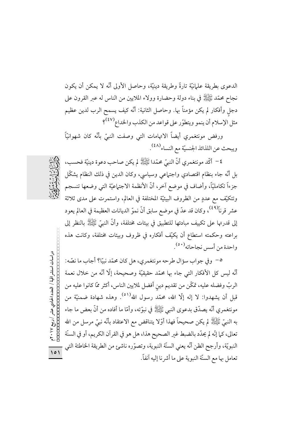الدعوى بطريقة علىانيَّة تارةً وطريقة دينيَّة، وحاصل الأولى أنَّه لا يمكن أن يكون نجاح محمَّد ﷺ في بناء دولة وحضارة وولاء الملايين من الناس له عبر القرون على دجل وأفكار لم يكن مؤمناً بها. وحاصل الثانية: أنَّه كيف يسمح الرب لدين عظيم مثل الإسلام أن ينمو ويتطوّر على قواعد من الكذب والخداع<sup>(٤٧)</sup>؟

ورفض مونتغمري أيضاً الاتهامات التي وصفت النبيّ بأنّه كان شهوانيّاً ويبحث عن اللذائذ الجنسيّة مع النساء<sup>(٤٨)</sup> .

٤– أكَّد مونتغمري أنَّ النبيِّ محمَّدا ﷺ لم يكن صاحب دعوة دينيَّة فحسب، بل أنَّه جاء بنظام اقتصادي واجتهاعي وسياسي، وكان الدين في ذلك النظام يشكَّل جزءاً تكامليًّا، وأضاف في موضع آخر، أنَّ الأنظمة الاجتماعيَّة التي وضعها تنسجم وتتكيَّف مع عددٍ من الظروف البيئيَّة المختلفة في العالم، واستمرت على مدى ثلاثة عشر قرناً<sup>(٤٩)</sup>، وكان قد عدّ في موضع سابق أنّ نموّ الديانات العظيمة في العالم يعود إلى قدرتها على تكييف مبادئها للتطبيق في بيئات مختلفة، وأنَّ النبيِّ ﷺ بالنظر إلى براعته وحكمته استطاع أن يكيّف أفكاره في ظروف وبيئات مختلفة، وكانت هذه واحدة من أسس نجاحاته'٬٥٠).

٥– وفي جواب سؤال طرحه مونتغمري، هل كان محمّد نبيًّا؟ أجاب ما نصّه: أنَّه ليس كل الأفكار التي جاء بها محمَّد حقيقيَّة وصحيحة، إلَّا أنَّه من خلال نعمة الربّ وفضله عليه، تمكّن من تقديم دين أفضل لملايين الناس، أكثر ممّا كانوا عليه من قبل أن يشهدوا: لا إله إلَّا الله، محمَّد رسول الله<sup>(٥١)</sup>. وهذه شهادة ضمنيَّة من مونتغمري أنَّه يصدَّق بدعوى النبي ﷺ في نبوَّته، وأمَّا ما أفاده من أنَّ بعض ما جاء به النبيِّ ﷺ لم يكن صحيحاً فهذا أوَّلا يتناقض مع الاعتقاد بأنَّه نبيٍّ مرسلٍ من الله تعالى، كما إنَّه لم يحدَّد بالضبط غير الصحيح هذا، هل هو في القرآن الكريم، أو في السنَّة النبويّة، وأرجح الظن أنّه يعني السنّة النبوية، وتصوّره ناشئ من الطريقة الخاطئة التي  $\overline{\phantom{0}}$ تعامل بها مع السنَّة النبوية على ما أشر نا إليه آنفاً.

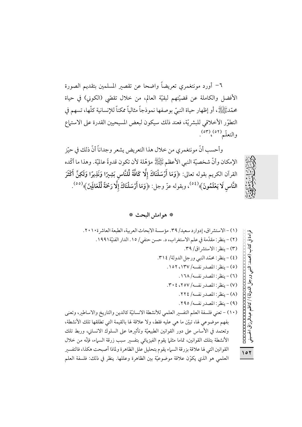٦− أورد مونتغمري تعريضاً واضحا عن تقصير المسلمين بتقديم الصورة الأفضل والكاملة عن قضيَّتهم لبقيَّة العالم، من خلال تقصَّى (الكوني) في حياة محمّدﷺ، أو إظهار حياة النبيّ بوصفها نموذجاً مثالياً ممكناً للإنسانية كلّها، تسهم في التطوّر الأخلاقي للبشريّة، فعند ذلك سيكون لبعض المسيحيين القدرة على الاستماع والتعلّم(٥٢) (٥٣).

وأحسب أنَّ مونتغمري من خلال هذا التعريض يشعر وجداناً أنَّ ذلك في حيّز الإمكان وأنَّ شخصيَّة النبي الأعظم ﷺ مؤهَّلة لأن تكون قدوةً عالميَّة. وهذا ما أكَّده القرآن الكريم بقوله تعالى: ﴿وَمَا أَرْسَلْنَاكَ إِلَّا كَافَّةً لِّلنَّاس بَشِيرًا وَنَذِيرًا وَلَكِنَّ أَكْثَرَ النَّاسِ لَا يَعْلَمُونَ﴾  $(3\,8)\,,$  وبقوله عزّ وجل: ﴿وَمَا أَرْسَلْنَاكَ إِلَّا رَحْمَةً لِّلْعَالَمِنَ﴾  $^{(0\,0)}$ 

\* هوامش البحث \*